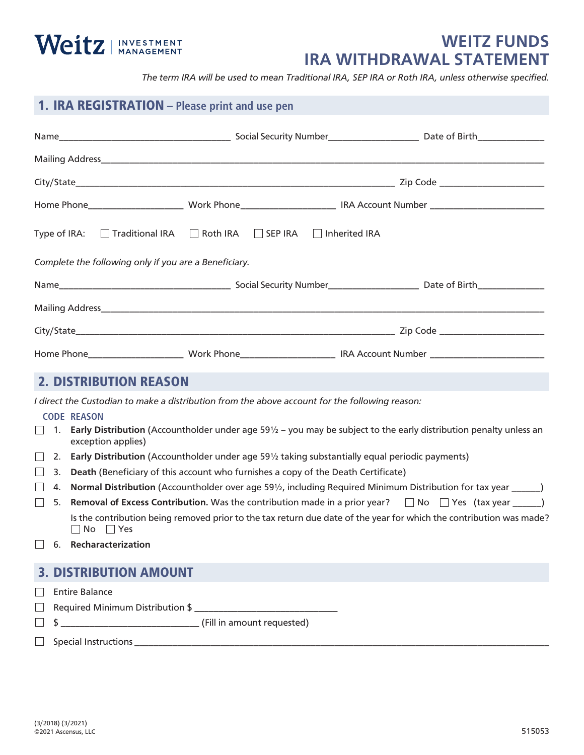# Weitz | INVESTMENT

## **WEITZ FUNDS IRA WITHDRAWAL STATEMENT**

*The term IRA will be used to mean Traditional IRA, SEP IRA or Roth IRA, unless otherwise specified.*

## 1. IRA REGISTRATION **– Please print and use pen**

|                                                                                                                      | Type of IRA: □ Traditional IRA □ Roth IRA □ SEP IRA □ Inherited IRA                                                          |  |
|----------------------------------------------------------------------------------------------------------------------|------------------------------------------------------------------------------------------------------------------------------|--|
| Complete the following only if you are a Beneficiary.                                                                |                                                                                                                              |  |
|                                                                                                                      |                                                                                                                              |  |
|                                                                                                                      |                                                                                                                              |  |
|                                                                                                                      |                                                                                                                              |  |
|                                                                                                                      |                                                                                                                              |  |
|                                                                                                                      |                                                                                                                              |  |
| <b>2. DISTRIBUTION REASON</b>                                                                                        |                                                                                                                              |  |
|                                                                                                                      | I direct the Custodian to make a distribution from the above account for the following reason:                               |  |
| <b>CODE REASON</b>                                                                                                   |                                                                                                                              |  |
| 1.<br>exception applies)                                                                                             | Early Distribution (Accountholder under age $59\frac{1}{2}$ - you may be subject to the early distribution penalty unless an |  |
| Early Distribution (Accountholder under age 591/2 taking substantially equal periodic payments)<br>2.                |                                                                                                                              |  |
| Death (Beneficiary of this account who furnishes a copy of the Death Certificate)<br>3.                              |                                                                                                                              |  |
| Normal Distribution (Accountholder over age 591/2, including Required Minimum Distribution for tax year _____)<br>4. |                                                                                                                              |  |
| 5.                                                                                                                   | <b>Removal of Excess Contribution.</b> Was the contribution made in a prior year? $\Box$ No $\Box$ Yes (tax year _____)      |  |
| $\Box$ No $\Box$ Yes                                                                                                 | Is the contribution being removed prior to the tax return due date of the year for which the contribution was made?          |  |
| $\Box$ 6. Recharacterization                                                                                         |                                                                                                                              |  |
| <b>3. DISTRIBUTION AMOUNT</b>                                                                                        |                                                                                                                              |  |
| <b>Entire Balance</b>                                                                                                |                                                                                                                              |  |
|                                                                                                                      |                                                                                                                              |  |
|                                                                                                                      |                                                                                                                              |  |
|                                                                                                                      |                                                                                                                              |  |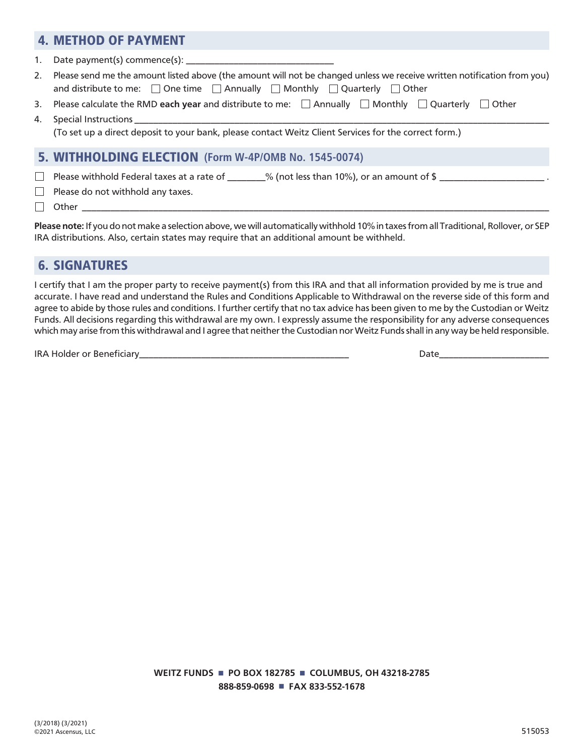## 4. METHOD OF PAYMENT

1. Date payment(s) commence(s):

- 2. Please send me the amount listed above (the amount will not be changed unless we receive written notification from you) and distribute to me:  $\Box$  One time  $\Box$  Annually  $\Box$  Monthly  $\Box$  Quarterly  $\Box$  Other
- 3. Please calculate the RMD each year and distribute to me:  $\Box$  Annually  $\Box$  Monthly  $\Box$  Quarterly  $\Box$  Other
- 4. Special Instructions (To set up a direct deposit to your bank, please contact Weitz Client Services for the correct form.)

#### 5. WITHHOLDING ELECTION **(Form W-4P/OMB No. 1545-0074)**

Please withhold Federal taxes at a rate of  $\_\_\_\_\_\$  (not less than 10%), or an amount of  $\frac{1}{2}$  $\Box$ 

 $\Box$  Please do not withhold any taxes.

 $\Box$  Other  $\Box$ 

**Please note:** If you do not make a selection above, we will automatically withhold 10% in taxes from all Traditional, Rollover, or SEP IRA distributions. Also, certain states may require that an additional amount be withheld.

## 6. SIGNATURES

I certify that I am the proper party to receive payment(s) from this IRA and that all information provided by me is true and accurate. I have read and understand the Rules and Conditions Applicable to Withdrawal on the reverse side of this form and agree to abide by those rules and conditions. I further certify that no tax advice has been given to me by the Custodian or Weitz Funds. All decisions regarding this withdrawal are my own. I expressly assume the responsibility for any adverse consequences which may arise from this withdrawal and I agree that neither the Custodian nor Weitz Funds shall in any way be held responsible.

IRA Holder or Beneficiary and the set of the set of the set of the set of the set of the set of the set of the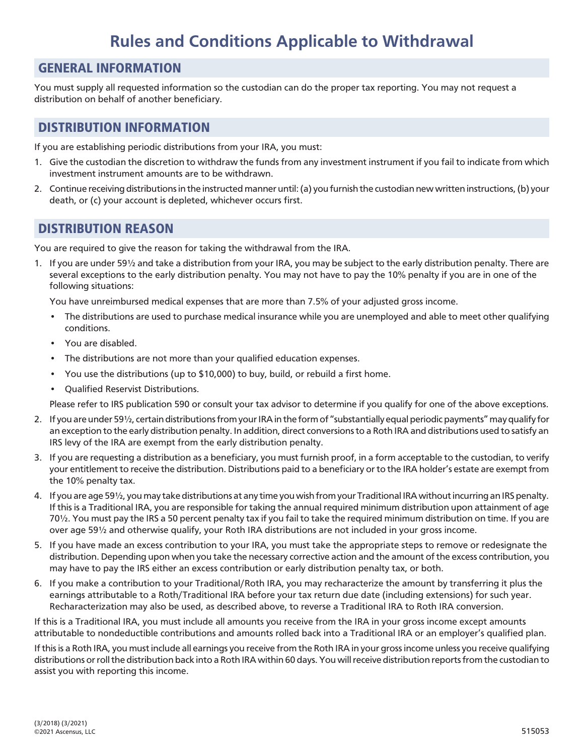# **Rules and Conditions Applicable to Withdrawal**

#### GENERAL INFORMATION

You must supply all requested information so the custodian can do the proper tax reporting. You may not request a distribution on behalf of another beneficiary.

#### DISTRIBUTION INFORMATION

If you are establishing periodic distributions from your IRA, you must:

- 1. Give the custodian the discretion to withdraw the funds from any investment instrument if you fail to indicate from which investment instrument amounts are to be withdrawn.
- 2. Continue receiving distributions in the instructed manner until: (a) you furnish the custodian new written instructions, (b) your death, or (c) your account is depleted, whichever occurs first.

## DISTRIBUTION REASON

You are required to give the reason for taking the withdrawal from the IRA.

1. If you are under 59½ and take a distribution from your IRA, you may be subject to the early distribution penalty. There are several exceptions to the early distribution penalty. You may not have to pay the 10% penalty if you are in one of the following situations:

You have unreimbursed medical expenses that are more than 7.5% of your adjusted gross income.

- The distributions are used to purchase medical insurance while you are unemployed and able to meet other qualifying conditions.
- You are disabled.
- The distributions are not more than your qualified education expenses.
- You use the distributions (up to \$10,000) to buy, build, or rebuild a first home.
- Qualified Reservist Distributions.

Please refer to IRS publication 590 or consult your tax advisor to determine if you qualify for one of the above exceptions.

- 2. If you are under 59½, certain distributions from your IRA in the form of "substantially equal periodic payments" may qualify for an exception to the early distribution penalty. In addition, direct conversions to a Roth IRA and distributions used to satisfy an IRS levy of the IRA are exempt from the early distribution penalty.
- 3. If you are requesting a distribution as a beneficiary, you must furnish proof, in a form acceptable to the custodian, to verify your entitlement to receive the distribution. Distributions paid to a beneficiary or to the IRA holder's estate are exempt from the 10% penalty tax.
- 4. If you are age 59½, you may take distributions at any time you wish from your Traditional IRA without incurring an IRS penalty. If this is a Traditional IRA, you are responsible for taking the annual required minimum distribution upon attainment of age 70½. You must pay the IRS a 50 percent penalty tax if you fail to take the required minimum distribution on time. If you are over age 59½ and otherwise qualify, your Roth IRA distributions are not included in your gross income.
- 5. If you have made an excess contribution to your IRA, you must take the appropriate steps to remove or redesignate the distribution. Depending upon when you take the necessary corrective action and the amount of the excess contribution, you may have to pay the IRS either an excess contribution or early distribution penalty tax, or both.
- 6. If you make a contribution to your Traditional/Roth IRA, you may recharacterize the amount by transferring it plus the earnings attributable to a Roth/Traditional IRA before your tax return due date (including extensions) for such year. Recharacterization may also be used, as described above, to reverse a Traditional IRA to Roth IRA conversion.

If this is a Traditional IRA, you must include all amounts you receive from the IRA in your gross income except amounts attributable to nondeductible contributions and amounts rolled back into a Traditional IRA or an employer's qualified plan.

If this is a Roth IRA, you must include all earnings you receive from the Roth IRA in your gross income unless you receive qualifying distributions or roll the distribution back into a Roth IRA within 60 days. You will receive distribution reports from the custodian to assist you with reporting this income.